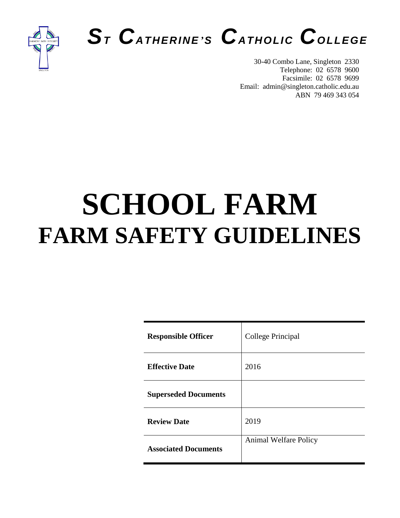



30-40 Combo Lane, Singleton 2330 Telephone: 02 6578 9600 Facsimile: 02 6578 9699 Email: admin@singleton.catholic.edu.au ABN 79 469 343 054

# **SCHOOL FARM FARM SAFETY GUIDELINES**

| <b>Responsible Officer</b>  | College Principal            |
|-----------------------------|------------------------------|
| <b>Effective Date</b>       | 2016                         |
| <b>Superseded Documents</b> |                              |
| <b>Review Date</b>          | 2019                         |
| <b>Associated Documents</b> | <b>Animal Welfare Policy</b> |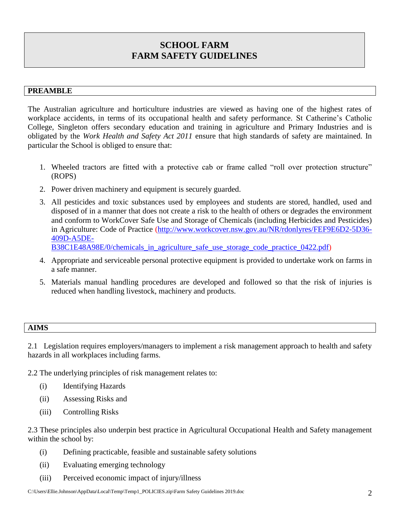## **SCHOOL FARM FARM SAFETY GUIDELINES**

#### **PREAMBLE**

The Australian agriculture and horticulture industries are viewed as having one of the highest rates of workplace accidents, in terms of its occupational health and safety performance. St Catherine's Catholic College, Singleton offers secondary education and training in agriculture and Primary Industries and is obligated by the *Work Health and Safety Act 2011* ensure that high standards of safety are maintained. In particular the School is obliged to ensure that:

- 1. Wheeled tractors are fitted with a protective cab or frame called "roll over protection structure" (ROPS)
- 2. Power driven machinery and equipment is securely guarded.
- 3. All pesticides and toxic substances used by employees and students are stored, handled, used and disposed of in a manner that does not create a risk to the health of others or degrades the environment and conform to WorkCover Safe Use and Storage of Chemicals (including Herbicides and Pesticides) in Agriculture: Code of Practice [\(http://www.workcover.nsw.gov.au/NR/rdonlyres/FEF9E6D2-5D36-](http://www.workcover.nsw.gov.au/NR/rdonlyres/FEF9E6D2-5D36-409D-A5DE-B38C1E48A98E/0/chemicals_in_agriculture_safe_use_storage_code_practice_0422.pdf) [409D-A5DE-](http://www.workcover.nsw.gov.au/NR/rdonlyres/FEF9E6D2-5D36-409D-A5DE-B38C1E48A98E/0/chemicals_in_agriculture_safe_use_storage_code_practice_0422.pdf)[B38C1E48A98E/0/chemicals\\_in\\_agriculture\\_safe\\_use\\_storage\\_code\\_practice\\_0422.pdf\)](http://www.workcover.nsw.gov.au/NR/rdonlyres/FEF9E6D2-5D36-409D-A5DE-B38C1E48A98E/0/chemicals_in_agriculture_safe_use_storage_code_practice_0422.pdf)
- 4. Appropriate and serviceable personal protective equipment is provided to undertake work on farms in a safe manner.
- 5. Materials manual handling procedures are developed and followed so that the risk of injuries is reduced when handling livestock, machinery and products.

| TR ÆCI<br>------- |  |  |  |
|-------------------|--|--|--|
|                   |  |  |  |

2.1 Legislation requires employers/managers to implement a risk management approach to health and safety hazards in all workplaces including farms.

2.2 The underlying principles of risk management relates to:

- (i) Identifying Hazards
- (ii) Assessing Risks and
- (iii) Controlling Risks

2.3 These principles also underpin best practice in Agricultural Occupational Health and Safety management within the school by:

- (i) Defining practicable, feasible and sustainable safety solutions
- (ii) Evaluating emerging technology
- (iii) Perceived economic impact of injury/illness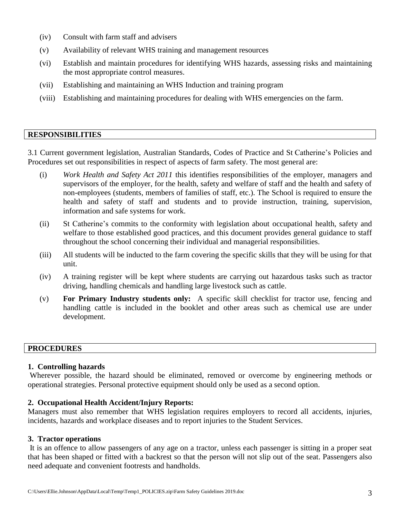- (iv) Consult with farm staff and advisers
- (v) Availability of relevant WHS training and management resources
- (vi) Establish and maintain procedures for identifying WHS hazards, assessing risks and maintaining the most appropriate control measures.
- (vii) Establishing and maintaining an WHS Induction and training program
- (viii) Establishing and maintaining procedures for dealing with WHS emergencies on the farm.

#### **RESPONSIBILITIES**

3.1 Current government legislation, Australian Standards, Codes of Practice and St Catherine's Policies and Procedures set out responsibilities in respect of aspects of farm safety. The most general are:

- (i) *Work Health and Safety Act 2011* this identifies responsibilities of the employer, managers and supervisors of the employer, for the health, safety and welfare of staff and the health and safety of non-employees (students, members of families of staff, etc.). The School is required to ensure the health and safety of staff and students and to provide instruction, training, supervision, information and safe systems for work.
- (ii) St Catherine's commits to the conformity with legislation about occupational health, safety and welfare to those established good practices, and this document provides general guidance to staff throughout the school concerning their individual and managerial responsibilities.
- (iii) All students will be inducted to the farm covering the specific skills that they will be using for that unit.
- (iv) A training register will be kept where students are carrying out hazardous tasks such as tractor driving, handling chemicals and handling large livestock such as cattle.
- (v) **For Primary Industry students only:** A specific skill checklist for tractor use, fencing and handling cattle is included in the booklet and other areas such as chemical use are under development.

#### **PROCEDURES**

#### **1. Controlling hazards**

Wherever possible, the hazard should be eliminated, removed or overcome by engineering methods or operational strategies. Personal protective equipment should only be used as a second option.

#### **2. Occupational Health Accident/Injury Reports:**

Managers must also remember that WHS legislation requires employers to record all accidents, injuries, incidents, hazards and workplace diseases and to report injuries to the Student Services.

#### **3. Tractor operations**

It is an offence to allow passengers of any age on a tractor, unless each passenger is sitting in a proper seat that has been shaped or fitted with a backrest so that the person will not slip out of the seat. Passengers also need adequate and convenient footrests and handholds.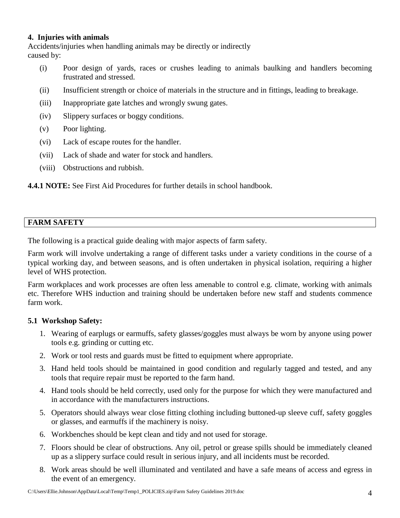#### **4. Injuries with animals**

Accidents/injuries when handling animals may be directly or indirectly caused by:

- (i) Poor design of yards, races or crushes leading to animals baulking and handlers becoming frustrated and stressed.
- (ii) Insufficient strength or choice of materials in the structure and in fittings, leading to breakage.
- (iii) Inappropriate gate latches and wrongly swung gates.
- (iv) Slippery surfaces or boggy conditions.
- (v) Poor lighting.
- (vi) Lack of escape routes for the handler.
- (vii) Lack of shade and water for stock and handlers.
- (viii) Obstructions and rubbish.

**4.4.1 NOTE:** See First Aid Procedures for further details in school handbook.

#### **FARM SAFETY**

The following is a practical guide dealing with major aspects of farm safety.

Farm work will involve undertaking a range of different tasks under a variety conditions in the course of a typical working day, and between seasons, and is often undertaken in physical isolation, requiring a higher level of WHS protection.

Farm workplaces and work processes are often less amenable to control e.g. climate, working with animals etc. Therefore WHS induction and training should be undertaken before new staff and students commence farm work.

#### **5.1 Workshop Safety:**

- 1. Wearing of earplugs or earmuffs, safety glasses/goggles must always be worn by anyone using power tools e.g. grinding or cutting etc.
- 2. Work or tool rests and guards must be fitted to equipment where appropriate.
- 3. Hand held tools should be maintained in good condition and regularly tagged and tested, and any tools that require repair must be reported to the farm hand.
- 4. Hand tools should be held correctly, used only for the purpose for which they were manufactured and in accordance with the manufacturers instructions.
- 5. Operators should always wear close fitting clothing including buttoned-up sleeve cuff, safety goggles or glasses, and earmuffs if the machinery is noisy.
- 6. Workbenches should be kept clean and tidy and not used for storage.
- 7. Floors should be clear of obstructions. Any oil, petrol or grease spills should be immediately cleaned up as a slippery surface could result in serious injury, and all incidents must be recorded.
- 8. Work areas should be well illuminated and ventilated and have a safe means of access and egress in the event of an emergency.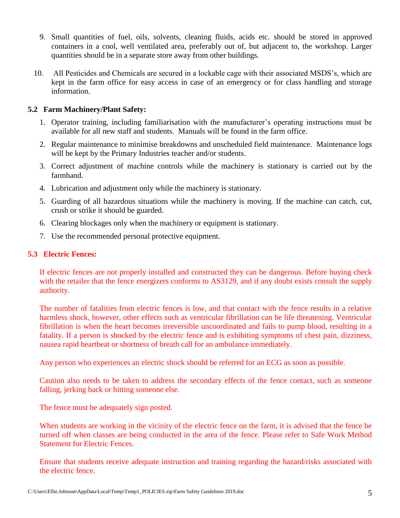- 9. Small quantities of fuel, oils, solvents, cleaning fluids, acids etc. should be stored in approved containers in a cool, well ventilated area, preferably out of, but adjacent to, the workshop. Larger quantities should be in a separate store away from other buildings.
- 10. All Pesticides and Chemicals are secured in a lockable cage with their associated MSDS's, which are kept in the farm office for easy access in case of an emergency or for class handling and storage information.

#### **5.2 Farm Machinery/Plant Safety:**

- 1. Operator training, including familiarisation with the manufacturer's operating instructions must be available for all new staff and students. Manuals will be found in the farm office.
- 2. Regular maintenance to minimise breakdowns and unscheduled field maintenance. Maintenance logs will be kept by the Primary Industries teacher and/or students.
- 3. Correct adjustment of machine controls while the machinery is stationary is carried out by the farmhand.
- 4. Lubrication and adjustment only while the machinery is stationary.
- 5. Guarding of all hazardous situations while the machinery is moving. If the machine can catch, cut, crush or strike it should be guarded.
- 6. Clearing blockages only when the machinery or equipment is stationary.
- 7. Use the recommended personal protective equipment.

#### **5.3 Electric Fences:**

If electric fences are not properly installed and constructed they can be dangerous. Before buying check with the retailer that the fence energizers conforms to AS3129, and if any doubt exists consult the supply authority.

The number of fatalities from electric fences is low, and that contact with the fence results in a relative harmless shock, however, other effects such as ventricular fibrillation can be life threatening. Ventricular fibrillation is when the heart becomes irreversible uncoordinated and fails to pump blood, resulting in a fatality. If a person is shocked by the electric fence and is exhibiting symptoms of chest pain, dizziness, nausea rapid heartbeat or shortness of breath call for an ambulance immediately.

Any person who experiences an electric shock should be referred for an ECG as soon as possible.

Caution also needs to be taken to address the secondary effects of the fence contact, such as someone falling, jerking back or hitting someone else.

The fence must be adequately sign posted.

When students are working in the vicinity of the electric fence on the farm, it is advised that the fence be turned off when classes are being conducted in the area of the fence. Please refer to Safe Work Method Statement for Electric Fences.

Ensure that students receive adequate instruction and training regarding the hazard/risks associated with the electric fence.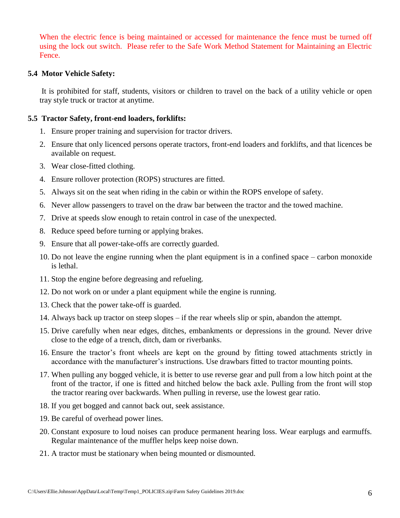When the electric fence is being maintained or accessed for maintenance the fence must be turned off using the lock out switch. Please refer to the Safe Work Method Statement for Maintaining an Electric Fence.

#### **5.4 Motor Vehicle Safety:**

It is prohibited for staff, students, visitors or children to travel on the back of a utility vehicle or open tray style truck or tractor at anytime.

#### **5.5 Tractor Safety, front-end loaders, forklifts:**

- 1. Ensure proper training and supervision for tractor drivers.
- 2. Ensure that only licenced persons operate tractors, front-end loaders and forklifts, and that licences be available on request.
- 3. Wear close-fitted clothing.
- 4. Ensure rollover protection (ROPS) structures are fitted.
- 5. Always sit on the seat when riding in the cabin or within the ROPS envelope of safety.
- 6. Never allow passengers to travel on the draw bar between the tractor and the towed machine.
- 7. Drive at speeds slow enough to retain control in case of the unexpected.
- 8. Reduce speed before turning or applying brakes.
- 9. Ensure that all power-take-offs are correctly guarded.
- 10. Do not leave the engine running when the plant equipment is in a confined space carbon monoxide is lethal.
- 11. Stop the engine before degreasing and refueling.
- 12. Do not work on or under a plant equipment while the engine is running.
- 13. Check that the power take-off is guarded.
- 14. Always back up tractor on steep slopes if the rear wheels slip or spin, abandon the attempt.
- 15. Drive carefully when near edges, ditches, embankments or depressions in the ground. Never drive close to the edge of a trench, ditch, dam or riverbanks.
- 16. Ensure the tractor's front wheels are kept on the ground by fitting towed attachments strictly in accordance with the manufacturer's instructions. Use drawbars fitted to tractor mounting points.
- 17. When pulling any bogged vehicle, it is better to use reverse gear and pull from a low hitch point at the front of the tractor, if one is fitted and hitched below the back axle. Pulling from the front will stop the tractor rearing over backwards. When pulling in reverse, use the lowest gear ratio.
- 18. If you get bogged and cannot back out, seek assistance.
- 19. Be careful of overhead power lines.
- 20. Constant exposure to loud noises can produce permanent hearing loss. Wear earplugs and earmuffs. Regular maintenance of the muffler helps keep noise down.
- 21. A tractor must be stationary when being mounted or dismounted.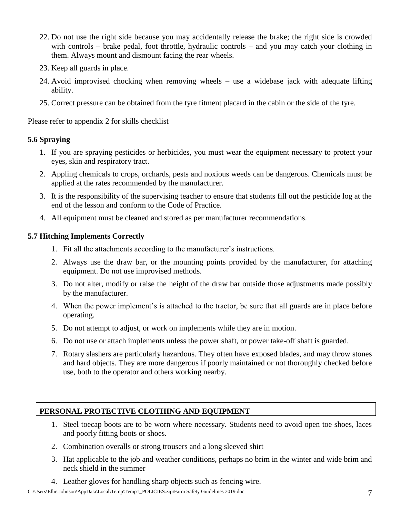- 22. Do not use the right side because you may accidentally release the brake; the right side is crowded with controls – brake pedal, foot throttle, hydraulic controls – and you may catch your clothing in them. Always mount and dismount facing the rear wheels.
- 23. Keep all guards in place.
- 24. Avoid improvised chocking when removing wheels use a widebase jack with adequate lifting ability.
- 25. Correct pressure can be obtained from the tyre fitment placard in the cabin or the side of the tyre.

Please refer to appendix 2 for skills checklist

#### **5.6 Spraying**

- 1. If you are spraying pesticides or herbicides, you must wear the equipment necessary to protect your eyes, skin and respiratory tract.
- 2. Appling chemicals to crops, orchards, pests and noxious weeds can be dangerous. Chemicals must be applied at the rates recommended by the manufacturer.
- 3. It is the responsibility of the supervising teacher to ensure that students fill out the pesticide log at the end of the lesson and conform to the Code of Practice.
- 4. All equipment must be cleaned and stored as per manufacturer recommendations.

#### **5.7 Hitching Implements Correctly**

- 1. Fit all the attachments according to the manufacturer's instructions.
- 2. Always use the draw bar, or the mounting points provided by the manufacturer, for attaching equipment. Do not use improvised methods.
- 3. Do not alter, modify or raise the height of the draw bar outside those adjustments made possibly by the manufacturer.
- 4. When the power implement's is attached to the tractor, be sure that all guards are in place before operating.
- 5. Do not attempt to adjust, or work on implements while they are in motion.
- 6. Do not use or attach implements unless the power shaft, or power take-off shaft is guarded.
- 7. Rotary slashers are particularly hazardous. They often have exposed blades, and may throw stones and hard objects. They are more dangerous if poorly maintained or not thoroughly checked before use, both to the operator and others working nearby.

#### **PERSONAL PROTECTIVE CLOTHING AND EQUIPMENT**

- 1. Steel toecap boots are to be worn where necessary. Students need to avoid open toe shoes, laces and poorly fitting boots or shoes.
- 2. Combination overalls or strong trousers and a long sleeved shirt
- 3. Hat applicable to the job and weather conditions, perhaps no brim in the winter and wide brim and neck shield in the summer
- 4. Leather gloves for handling sharp objects such as fencing wire.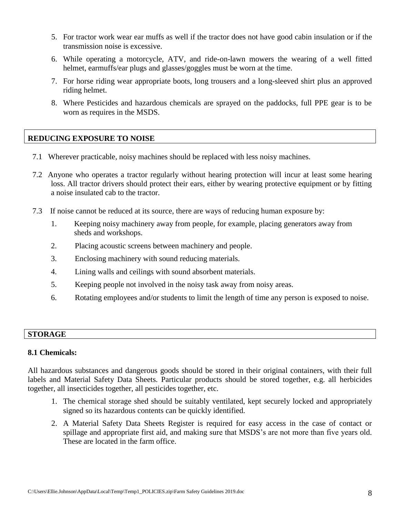- 5. For tractor work wear ear muffs as well if the tractor does not have good cabin insulation or if the transmission noise is excessive.
- 6. While operating a motorcycle, ATV, and ride-on-lawn mowers the wearing of a well fitted helmet, earmuffs/ear plugs and glasses/goggles must be worn at the time.
- 7. For horse riding wear appropriate boots, long trousers and a long-sleeved shirt plus an approved riding helmet.
- 8. Where Pesticides and hazardous chemicals are sprayed on the paddocks, full PPE gear is to be worn as requires in the MSDS.

#### **REDUCING EXPOSURE TO NOISE**

- 7.1 Wherever practicable, noisy machines should be replaced with less noisy machines.
- 7.2 Anyone who operates a tractor regularly without hearing protection will incur at least some hearing loss. All tractor drivers should protect their ears, either by wearing protective equipment or by fitting a noise insulated cab to the tractor.
- 7.3 If noise cannot be reduced at its source, there are ways of reducing human exposure by:
	- 1. Keeping noisy machinery away from people, for example, placing generators away from sheds and workshops.
	- 2. Placing acoustic screens between machinery and people.
	- 3. Enclosing machinery with sound reducing materials.
	- 4. Lining walls and ceilings with sound absorbent materials.
	- 5. Keeping people not involved in the noisy task away from noisy areas.
	- 6. Rotating employees and/or students to limit the length of time any person is exposed to noise.

#### **STORAGE**

#### **8.1 Chemicals:**

All hazardous substances and dangerous goods should be stored in their original containers, with their full labels and Material Safety Data Sheets. Particular products should be stored together, e.g. all herbicides together, all insecticides together, all pesticides together, etc.

- 1. The chemical storage shed should be suitably ventilated, kept securely locked and appropriately signed so its hazardous contents can be quickly identified.
- 2. A Material Safety Data Sheets Register is required for easy access in the case of contact or spillage and appropriate first aid, and making sure that MSDS's are not more than five years old. These are located in the farm office.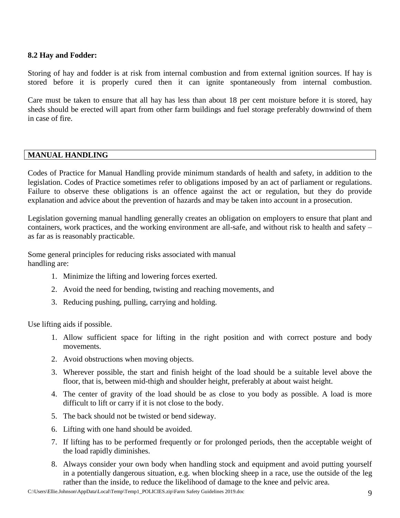#### **8.2 Hay and Fodder:**

Storing of hay and fodder is at risk from internal combustion and from external ignition sources. If hay is stored before it is properly cured then it can ignite spontaneously from internal combustion.

Care must be taken to ensure that all hay has less than about 18 per cent moisture before it is stored, hay sheds should be erected will apart from other farm buildings and fuel storage preferably downwind of them in case of fire.

#### **MANUAL HANDLING**

Codes of Practice for Manual Handling provide minimum standards of health and safety, in addition to the legislation. Codes of Practice sometimes refer to obligations imposed by an act of parliament or regulations. Failure to observe these obligations is an offence against the act or regulation, but they do provide explanation and advice about the prevention of hazards and may be taken into account in a prosecution.

Legislation governing manual handling generally creates an obligation on employers to ensure that plant and containers, work practices, and the working environment are all-safe, and without risk to health and safety – as far as is reasonably practicable.

Some general principles for reducing risks associated with manual handling are:

- 1. Minimize the lifting and lowering forces exerted.
- 2. Avoid the need for bending, twisting and reaching movements, and
- 3. Reducing pushing, pulling, carrying and holding.

Use lifting aids if possible.

- 1. Allow sufficient space for lifting in the right position and with correct posture and body movements.
- 2. Avoid obstructions when moving objects.
- 3. Wherever possible, the start and finish height of the load should be a suitable level above the floor, that is, between mid-thigh and shoulder height, preferably at about waist height.
- 4. The center of gravity of the load should be as close to you body as possible. A load is more difficult to lift or carry if it is not close to the body.
- 5. The back should not be twisted or bend sideway.
- 6. Lifting with one hand should be avoided.
- 7. If lifting has to be performed frequently or for prolonged periods, then the acceptable weight of the load rapidly diminishes.
- 8. Always consider your own body when handling stock and equipment and avoid putting yourself in a potentially dangerous situation, e.g. when blocking sheep in a race, use the outside of the leg rather than the inside, to reduce the likelihood of damage to the knee and pelvic area.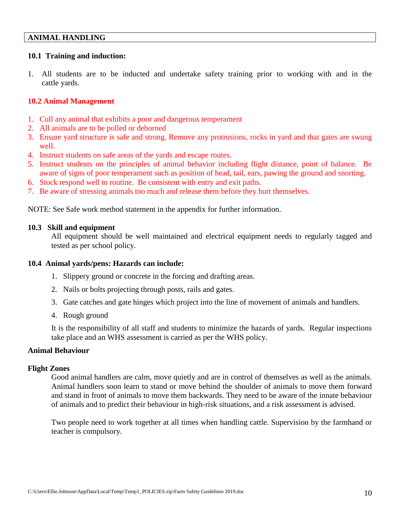#### **ANIMAL HANDLING**

#### **10.1 Training and induction:**

1. All students are to be inducted and undertake safety training prior to working with and in the cattle yards.

#### **10.2 Animal Management**

- 1. Cull any animal that exhibits a poor and dangerous temperament
- 2. All animals are to be polled or dehorned
- 3. Ensure yard structure is safe and strong. Remove any protrusions, rocks in yard and that gates are swung well.
- 4. Instruct students on safe areas of the yards and escape routes.
- 5. Instruct students on the principles of animal behavior including flight distance, point of balance. Be aware of signs of poor temperament such as position of head, tail, ears, pawing the ground and snorting.
- 6. Stock respond well to routine. Be consistent with entry and exit paths.
- 7. Be aware of stressing animals too much and release them before they hurt themselves.

NOTE: See Safe work method statement in the appendix for further information.

#### **10.3 Skill and equipment**

All equipment should be well maintained and electrical equipment needs to regularly tagged and tested as per school policy.

#### **10.4 Animal yards/pens: Hazards can include:**

- 1. Slippery ground or concrete in the forcing and drafting areas.
- 2. Nails or bolts projecting through posts, rails and gates.
- 3. Gate catches and gate hinges which project into the line of movement of animals and handlers.
- 4. Rough ground

It is the responsibility of all staff and students to minimize the hazards of yards. Regular inspections take place and an WHS assessment is carried as per the WHS policy.

#### **Animal Behaviour**

#### **Flight Zones**

Good animal handlers are calm, move quietly and are in control of themselves as well as the animals. Animal handlers soon learn to stand or move behind the shoulder of animals to move them forward and stand in front of animals to move them backwards. They need to be aware of the innate behaviour of animals and to predict their behaviour in high-risk situations, and a risk assessment is advised.

Two people need to work together at all times when handling cattle. Supervision by the farmhand or teacher is compulsory.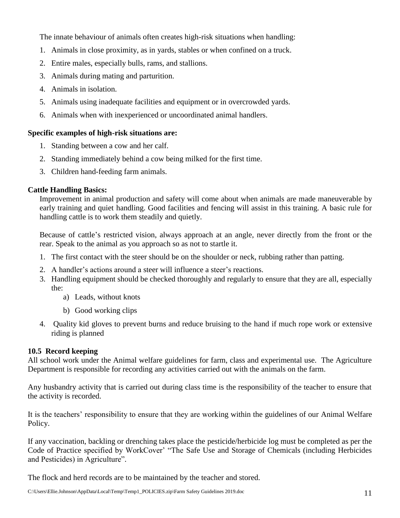The innate behaviour of animals often creates high-risk situations when handling:

- 1. Animals in close proximity, as in yards, stables or when confined on a truck.
- 2. Entire males, especially bulls, rams, and stallions.
- 3. Animals during mating and parturition.
- 4. Animals in isolation.
- 5. Animals using inadequate facilities and equipment or in overcrowded yards.
- 6. Animals when with inexperienced or uncoordinated animal handlers.

#### **Specific examples of high-risk situations are:**

- 1. Standing between a cow and her calf.
- 2. Standing immediately behind a cow being milked for the first time.
- 3. Children hand-feeding farm animals.

#### **Cattle Handling Basics:**

Improvement in animal production and safety will come about when animals are made maneuverable by early training and quiet handling. Good facilities and fencing will assist in this training. A basic rule for handling cattle is to work them steadily and quietly.

Because of cattle's restricted vision, always approach at an angle, never directly from the front or the rear. Speak to the animal as you approach so as not to startle it.

- 1. The first contact with the steer should be on the shoulder or neck, rubbing rather than patting.
- 2. A handler's actions around a steer will influence a steer's reactions.
- 3. Handling equipment should be checked thoroughly and regularly to ensure that they are all, especially the:
	- a) Leads, without knots
	- b) Good working clips
- 4. Quality kid gloves to prevent burns and reduce bruising to the hand if much rope work or extensive riding is planned

#### **10.5 Record keeping**

All school work under the Animal welfare guidelines for farm, class and experimental use. The Agriculture Department is responsible for recording any activities carried out with the animals on the farm.

Any husbandry activity that is carried out during class time is the responsibility of the teacher to ensure that the activity is recorded.

It is the teachers' responsibility to ensure that they are working within the guidelines of our Animal Welfare Policy.

If any vaccination, backling or drenching takes place the pesticide/herbicide log must be completed as per the Code of Practice specified by WorkCover' "The Safe Use and Storage of Chemicals (including Herbicides and Pesticides) in Agriculture".

The flock and herd records are to be maintained by the teacher and stored.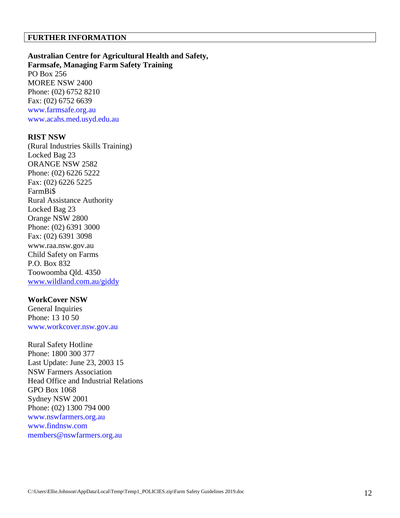#### **FURTHER INFORMATION**

**Australian Centre for Agricultural Health and Safety, Farmsafe, Managing Farm Safety Training** PO Box 256 MOREE NSW 2400 Phone: (02) 6752 8210 Fax: (02) 6752 6639 www.farmsafe.org.au www.acahs.med.usyd.edu.au

#### **RIST NSW**

(Rural Industries Skills Training) Locked Bag 23 ORANGE NSW 2582 Phone: (02) 6226 5222 Fax: (02) 6226 5225 FarmBi\$ Rural Assistance Authority Locked Bag 23 Orange NSW 2800 Phone: (02) 6391 3000 Fax: (02) 6391 3098 www.raa.nsw.gov.au Child Safety on Farms P.O. Box 832 Toowoomba Qld. 4350 [www.wildland.com.au/giddy](http://www.wildland.com.au/giddy)

#### **WorkCover NSW**

General Inquiries Phone: 13 10 50 www.workcover.nsw.gov.au

Rural Safety Hotline Phone: 1800 300 377 Last Update: June 23, 2003 15 NSW Farmers Association Head Office and Industrial Relations GPO Box 1068 Sydney NSW 2001 Phone: (02) 1300 794 000 www.nswfarmers.org.au www.findnsw.com members@nswfarmers.org.au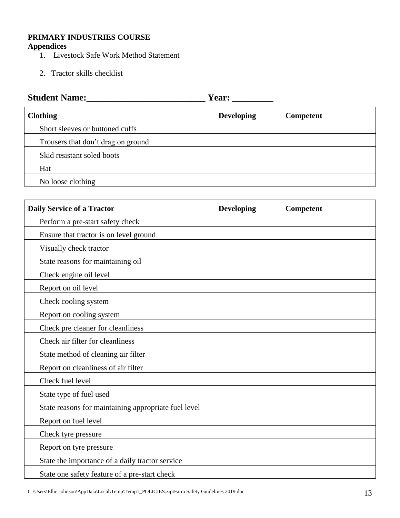#### **PRIMARY INDUSTRIES COURSE Appendices**

- 1. Livestock Safe Work Method Statement
- 2. Tractor skills checklist

| <b>Student Name:</b>               |                   | Year:     |  |  |  |
|------------------------------------|-------------------|-----------|--|--|--|
| <b>Clothing</b>                    | <b>Developing</b> | Competent |  |  |  |
| Short sleeves or buttoned cuffs    |                   |           |  |  |  |
| Trousers that don't drag on ground |                   |           |  |  |  |
| Skid resistant soled boots         |                   |           |  |  |  |
| Hat                                |                   |           |  |  |  |
| No loose clothing                  |                   |           |  |  |  |

| <b>Daily Service of a Tractor</b>                    | <b>Developing</b> | Competent |
|------------------------------------------------------|-------------------|-----------|
| Perform a pre-start safety check                     |                   |           |
| Ensure that tractor is on level ground               |                   |           |
| Visually check tractor                               |                   |           |
| State reasons for maintaining oil                    |                   |           |
| Check engine oil level                               |                   |           |
| Report on oil level                                  |                   |           |
| Check cooling system                                 |                   |           |
| Report on cooling system                             |                   |           |
| Check pre cleaner for cleanliness                    |                   |           |
| Check air filter for cleanliness                     |                   |           |
| State method of cleaning air filter                  |                   |           |
| Report on cleanliness of air filter                  |                   |           |
| Check fuel level                                     |                   |           |
| State type of fuel used                              |                   |           |
| State reasons for maintaining appropriate fuel level |                   |           |
| Report on fuel level                                 |                   |           |
| Check tyre pressure                                  |                   |           |
| Report on tyre pressure                              |                   |           |
| State the importance of a daily tractor service      |                   |           |
| State one safety feature of a pre-start check        |                   |           |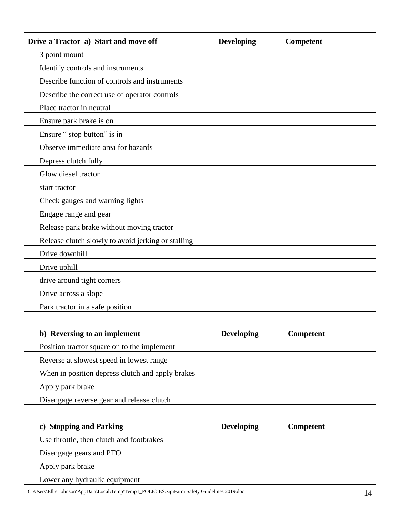| Drive a Tractor a) Start and move off              | <b>Developing</b> | <b>Competent</b> |
|----------------------------------------------------|-------------------|------------------|
| 3 point mount                                      |                   |                  |
| Identify controls and instruments                  |                   |                  |
| Describe function of controls and instruments      |                   |                  |
| Describe the correct use of operator controls      |                   |                  |
| Place tractor in neutral                           |                   |                  |
| Ensure park brake is on                            |                   |                  |
| Ensure " stop button" is in                        |                   |                  |
| Observe immediate area for hazards                 |                   |                  |
| Depress clutch fully                               |                   |                  |
| Glow diesel tractor                                |                   |                  |
| start tractor                                      |                   |                  |
| Check gauges and warning lights                    |                   |                  |
| Engage range and gear                              |                   |                  |
| Release park brake without moving tractor          |                   |                  |
| Release clutch slowly to avoid jerking or stalling |                   |                  |
| Drive downhill                                     |                   |                  |
| Drive uphill                                       |                   |                  |
| drive around tight corners                         |                   |                  |
| Drive across a slope                               |                   |                  |
| Park tractor in a safe position                    |                   |                  |

| b) Reversing to an implement                     | <b>Developing</b> | <b>Competent</b> |
|--------------------------------------------------|-------------------|------------------|
| Position tractor square on to the implement      |                   |                  |
| Reverse at slowest speed in lowest range         |                   |                  |
| When in position depress clutch and apply brakes |                   |                  |
| Apply park brake                                 |                   |                  |
| Disengage reverse gear and release clutch        |                   |                  |

| c) Stopping and Parking                  | <b>Developing</b> | Competent |
|------------------------------------------|-------------------|-----------|
| Use throttle, then clutch and footbrakes |                   |           |
| Disengage gears and PTO                  |                   |           |
| Apply park brake                         |                   |           |
| Lower any hydraulic equipment            |                   |           |

C:\Users\Ellie.Johnson\AppData\Local\Temp\Temp1\_POLICIES.zip\Farm Safety Guidelines 2019.doc 14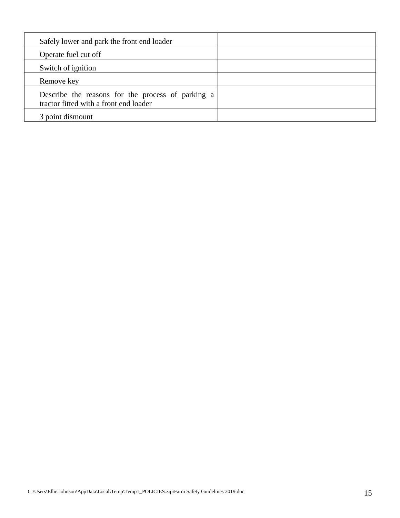| Safely lower and park the front end loader                                                  |  |
|---------------------------------------------------------------------------------------------|--|
| Operate fuel cut off                                                                        |  |
| Switch of ignition                                                                          |  |
| Remove key                                                                                  |  |
| Describe the reasons for the process of parking a<br>tractor fitted with a front end loader |  |
| 3 point dismount                                                                            |  |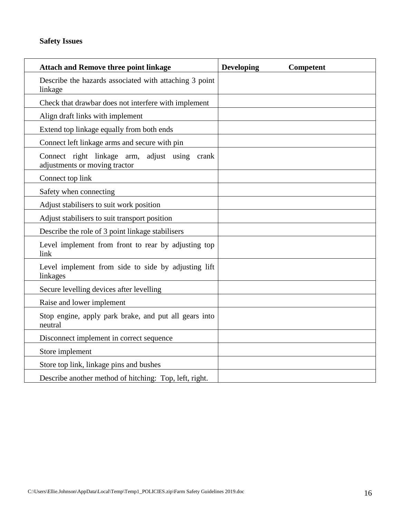| <b>Attach and Remove three point linkage</b>                                   | <b>Developing</b><br>Competent |
|--------------------------------------------------------------------------------|--------------------------------|
| Describe the hazards associated with attaching 3 point<br>linkage              |                                |
| Check that drawbar does not interfere with implement                           |                                |
| Align draft links with implement                                               |                                |
| Extend top linkage equally from both ends                                      |                                |
| Connect left linkage arms and secure with pin                                  |                                |
| Connect right linkage arm, adjust using crank<br>adjustments or moving tractor |                                |
| Connect top link                                                               |                                |
| Safety when connecting                                                         |                                |
| Adjust stabilisers to suit work position                                       |                                |
| Adjust stabilisers to suit transport position                                  |                                |
| Describe the role of 3 point linkage stabilisers                               |                                |
| Level implement from front to rear by adjusting top<br>link                    |                                |
| Level implement from side to side by adjusting lift<br>linkages                |                                |
| Secure levelling devices after levelling                                       |                                |
| Raise and lower implement                                                      |                                |
| Stop engine, apply park brake, and put all gears into<br>neutral               |                                |
| Disconnect implement in correct sequence                                       |                                |
| Store implement                                                                |                                |
| Store top link, linkage pins and bushes                                        |                                |
| Describe another method of hitching: Top, left, right.                         |                                |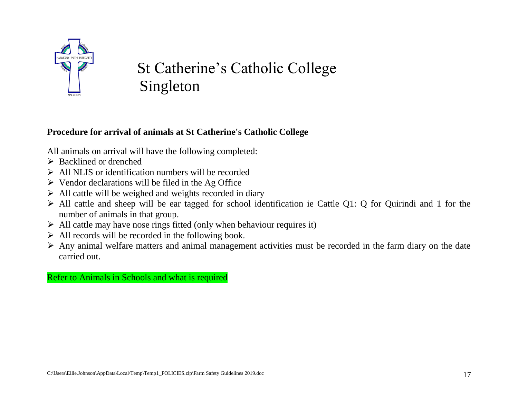

# St Catherine's Catholic College Singleton

## **Procedure for arrival of animals at St Catherine's Catholic College**

All animals on arrival will have the following completed:

- $\triangleright$  Backlined or drenched
- $\triangleright$  All NLIS or identification numbers will be recorded
- $\triangleright$  Vendor declarations will be filed in the Ag Office
- $\triangleright$  All cattle will be weighed and weights recorded in diary
- $\triangleright$  All cattle and sheep will be ear tagged for school identification ie Cattle Q1: Q for Quirindi and 1 for the number of animals in that group.
- $\triangleright$  All cattle may have nose rings fitted (only when behaviour requires it)
- $\triangleright$  All records will be recorded in the following book.
- $\triangleright$  Any animal welfare matters and animal management activities must be recorded in the farm diary on the date carried out.

Refer to Animals in Schools and what is required